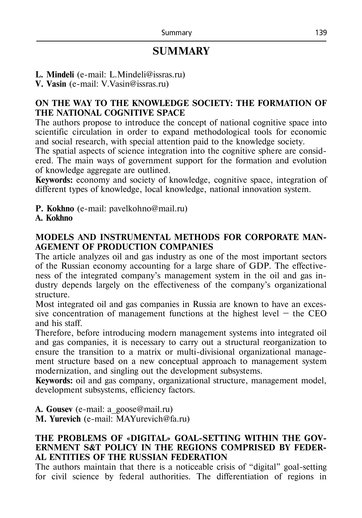# **SUMMARY**

**L. Mindeli** (e-mail: L.Mindeli@issras.ru)

**V. Vasin** (e-mail: V.Vasin@issras.ru)

# **ON THE WAY TO THE KNOWLEDGE SOCIETY: THE FORMATION OF THE NATIONAL COGNITIVE SPACE**

The authors propose to introduce the concept of national cognitive space into scientific circulation in order to expand methodological tools for economic and social research, with special attention paid to the knowledge society.

The spatial aspects of science integration into the cognitive sphere are considered. The main ways of government support for the formation and evolution of knowledge aggregate are outlined.

**Keywords:** economy and society of knowledge, cognitive space, integration of different types of knowledge, local knowledge, national innovation system.

**P. Kokhno** (e-mail: pavelkohno@mail.ru)

## **A. Kokhno**

# **MODELS AND INSTRUMENTAL METHODS FOR CORPORATE MAN-AGEMENT OF PRODUCTION COMPANIES**

The article analyzes oil and gas industry as one of the most important sectors of the Russian economy accounting for a large share of GDP. The effectiveness of the integrated company's management system in the oil and gas industry depends largely on the effectiveness of the company's organizational structure.

Most integrated oil and gas companies in Russia are known to have an excessive concentration of management functions at the highest level  $-$  the CEO and his staff.

Therefore, before introducing modern management systems into integrated oil and gas companies, it is necessary to carry out a structural reorganization to ensure the transition to a matrix or multi-divisional organizational management structure based on a new conceptual approach to management system modernization, and singling out the development subsystems.

**Keywords:** oil and gas company, organizational structure, management model, development subsystems, efficiency factors.

**A. Gousev** (e-mail: a\_goose@mail.ru)

**M. Yurevich** (e-mail: MAYurevich@fa.ru)

## **THE PROBLEMS OF «DIGITAL» GOAL-SETTING WITHIN THE GOV-ERNMENT S&T POLICY IN THE REGIONS COMPRISED BY FEDER-AL ENTITIES OF THE RUSSIAN FEDERATION**

The authors maintain that there is a noticeable crisis of "digital" goal-setting for civil science by federal authorities. The differentiation of regions in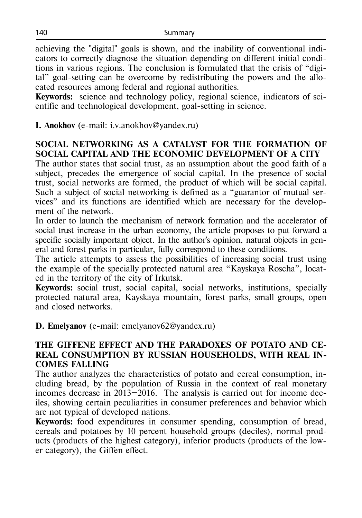achieving the "digital" goals is shown, and the inability of conventional indicators to correctly diagnose the situation depending on different initial conditions in various regions. The conclusion is formulated that the crisis of "digital" goal-setting can be overcome by redistributing the powers and the allocated resources among federal and regional authorities.

**Keywords:** science and technology policy, regional science, indicators of scientific and technological development, goal-setting in science.

**I. Anokhov** (e-mail: i.v.anokhov@yandex.ru)

## **SOCIAL NETWORKING AS A CATALYST FOR THE FORMATION OF SOCIAL CAPITAL AND THE ECONOMIC DEVELOPMENT OF A CITY**

The author states that social trust, as an assumption about the good faith of a subject, precedes the emergence of social capital. In the presence of social trust, social networks are formed, the product of which will be social capital. Such a subject of social networking is defined as a "guarantor of mutual services" and its functions are identified which are necessary for the development of the network.

In order to launch the mechanism of network formation and the accelerator of social trust increase in the urban economy, the article proposes to put forward a specific socially important object. In the author's opinion, natural objects in general and forest parks in particular, fully correspond to these conditions.

The article attempts to assess the possibilities of increasing social trust using the example of the specially protected natural area "Kayskaya Roscha", located in the territory of the city of Irkutsk.

**Keywords:** social trust, social capital, social networks, institutions, specially protected natural area, Kayskaya mountain, forest parks, small groups, open and closed networks.

**D. Emelyanov** (e-mail: emelyanov62@yandex.ru)

## **THE GIFFENE EFFECT AND THE PARADOXES OF POTATO AND CE-REAL CONSUMPTION BY RUSSIAN HOUSEHOLDS, WITH REAL IN-COMES FALLING**

The author analyzes the characteristics of potato and cereal consumption, including bread, by the population of Russia in the context of real monetary incomes decrease in 2013–2016. The analysis is carried out for income deciles, showing certain peculiarities in consumer preferences and behavior which are not typical of developed nations.

**Keywords:** food expenditures in consumer spending, consumption of bread, cereals and potatoes by 10 percent household groups (deciles), normal products (products of the highest category), inferior products (products of the lower category), the Giffen effect.